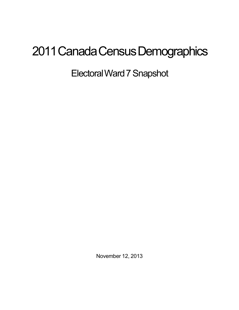## 2011 Canada Census Demographics

ElectoralWard7Snapshot

November 12, 2013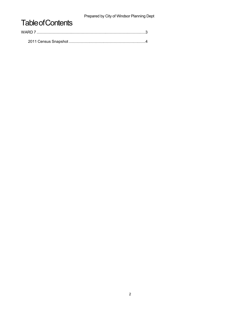Prepared by City of Windsor Planning Dept

## **Table of Contents**

| WARD 7 |  |
|--------|--|
|        |  |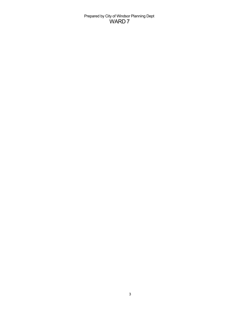Prepared by City of Windsor Planning Dept WARD 7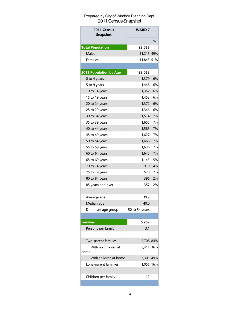## Prepared by City of Windsor Planning Dept 2011 Census Snapshot

| 2011 Census<br><b>Snapshot</b> | <b>WARD 7</b>  |    |
|--------------------------------|----------------|----|
|                                |                | ℅  |
| <b>Total Population</b>        | 23,058         |    |
| Males                          | 11,215 49%     |    |
| Females                        | 11,843 51%     |    |
|                                |                |    |
| 2011 Population by Age         | 23,058         |    |
| 0 to 4 years                   | 1,379          | 6% |
| 5 to 9 years                   | 1,448          | 6% |
| 10 to 14 years                 | 1,357          | 6% |
| 15 to 19 years                 | 1,453          | 6% |
| 20 to 24 years                 | 1,372          | 6% |
| 25 to 29 years                 | 1,346          | 6% |
| 30 to 34 years                 | 1,514          | 7% |
| 35 to 39 years                 | 1,655          | 7% |
| 40 to 44 years                 | 1,585          | 7% |
| 45 to 49 years                 | 1,627          | 7% |
| 50 to 54 years                 | 1,668          | 7% |
| 55 to 59 years                 | 1,636          | 7% |
| 60 to 64 years                 | 1,645          | 7% |
| 65 to 69 years                 | 1,145          | 5% |
| 70 to 74 years                 | 910            | 4% |
| 75 to 79 years                 | 570            | 2% |
| 80 to 84 years                 | 396            | 2% |
| 85 years and over              | 357            | 2% |
|                                |                |    |
| Average age                    | 39.9           |    |
| Median age                     | 40.0           |    |
| Dominant age group             | 50 to 54 years |    |
|                                |                |    |
| <b>Families</b>                | 6,769          |    |
| Persons per family             | 3.1            |    |
|                                |                |    |
| Two-parent families            | 5,708 84%      |    |
| With no children at            | 2.414 36%      |    |
| home                           |                |    |
| With children at home          | 3,305 49%      |    |
| Lone-parent familiies          | 1,056 16%      |    |
|                                |                |    |
| Children per family            | 1.2            |    |
|                                |                |    |